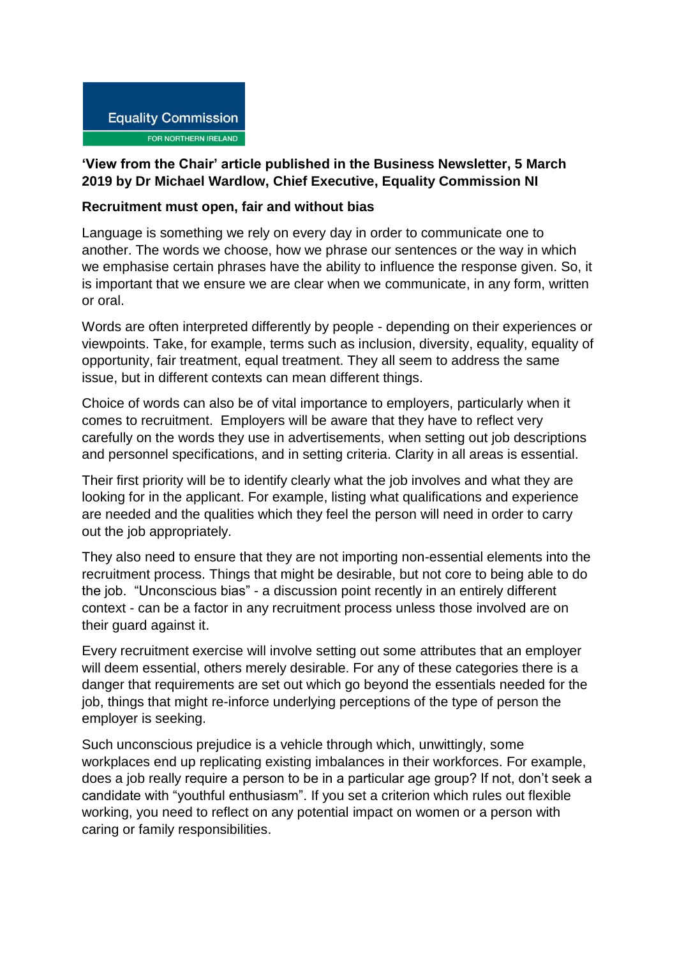

## **'View from the Chair' article published in the Business Newsletter, 5 March 2019 by Dr Michael Wardlow, Chief Executive, Equality Commission NI**

## **Recruitment must open, fair and without bias**

Language is something we rely on every day in order to communicate one to another. The words we choose, how we phrase our sentences or the way in which we emphasise certain phrases have the ability to influence the response given. So, it is important that we ensure we are clear when we communicate, in any form, written or oral.

Words are often interpreted differently by people - depending on their experiences or viewpoints. Take, for example, terms such as inclusion, diversity, equality, equality of opportunity, fair treatment, equal treatment. They all seem to address the same issue, but in different contexts can mean different things.

Choice of words can also be of vital importance to employers, particularly when it comes to recruitment. Employers will be aware that they have to reflect very carefully on the words they use in advertisements, when setting out job descriptions and personnel specifications, and in setting criteria. Clarity in all areas is essential.

Their first priority will be to identify clearly what the job involves and what they are looking for in the applicant. For example, listing what qualifications and experience are needed and the qualities which they feel the person will need in order to carry out the job appropriately.

They also need to ensure that they are not importing non-essential elements into the recruitment process. Things that might be desirable, but not core to being able to do the job. "Unconscious bias" - a discussion point recently in an entirely different context - can be a factor in any recruitment process unless those involved are on their guard against it.

Every recruitment exercise will involve setting out some attributes that an employer will deem essential, others merely desirable. For any of these categories there is a danger that requirements are set out which go beyond the essentials needed for the job, things that might re-inforce underlying perceptions of the type of person the employer is seeking.

Such unconscious prejudice is a vehicle through which, unwittingly, some workplaces end up replicating existing imbalances in their workforces. For example, does a job really require a person to be in a particular age group? If not, don't seek a candidate with "youthful enthusiasm". If you set a criterion which rules out flexible working, you need to reflect on any potential impact on women or a person with caring or family responsibilities.